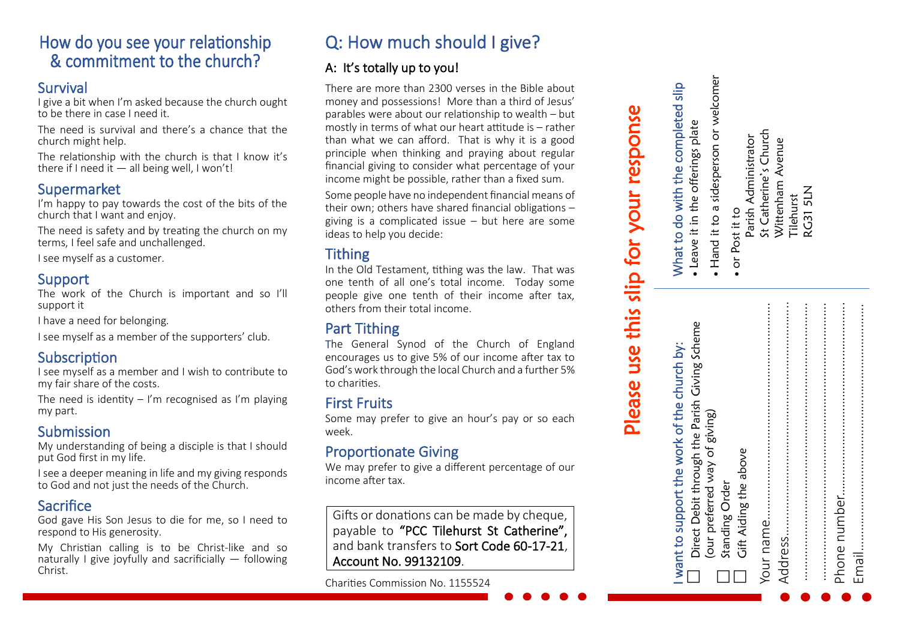# How do you see your relationship & commitment to the church?

# Survival

I give a bit when I'm asked because the church ought to be there in case I need it.

The need is survival and there's a chance that the church might help.

The relationship with the church is that I know it's there if I need it  $-$  all being well, I won't!

# Supermarket

I'm happy to pay towards the cost of the bits of the church that I want and enjoy.

The need is safety and by treating the church on my terms, I feel safe and unchallenged.

I see myself as a customer.

# Support

The work of the Church is important and so I'll support it

I have a need for belonging.

I see myself as a member of the supporters' club.

# **Subscription**

I see myself as a member and I wish to contribute to my fair share of the costs.

The need is identity  $-$  I'm recognised as I'm playing my part.

# Submission

My understanding of being a disciple is that I should put God first in my life.

I see a deeper meaning in life and my giving responds to God and not just the needs of the Church.

# Sacrifice

God gave His Son Jesus to die for me, so I need to respond to His generosity.

My Christian calling is to be Christ-like and so naturally I give joyfully and sacrificially  $-$  following Christ.

# Q: How much should I give?

# A: It's totally up to you!

There are more than 2300 verses in the Bible about money and possessions! More than a third of Jesus' parables were about our relationship to wealth – but mostly in terms of what our heart attitude is – rather than what we can afford. That is why it is a good principle when thinking and praying about regular financial giving to consider what percentage of your income might be possible, rather than a fixed sum.

Some people have no independent financial means of their own; others have shared financial obligations – giving is a complicated issue – but here are some ideas to help you decide:

# **Tithing**

In the Old Testament, tithing was the law. That was one tenth of all one's total income. Today some people give one tenth of their income after tax, others from their total income.

# Part Tithing

The General Synod of the Church of England encourages us to give 5% of our income after tax to God's work through the local Church and a further 5% to charities.

# First Fruits

Some may prefer to give an hour's pay or so each week.

# Proportionate Giving

We may prefer to give a different percentage of our income after tax.

Gifts or donations can be made by cheque, payable to "PCC Tilehurst St Catherine", and bank transfers to Sort Code 60-17-21, Account No. 99132109.

Charities Commission No. 1155524

# **Please use this slip for your response**<br>want to support the work of the church by:  $\blacksquare$  What to do with the completed

|                                                                                               | Please use this slip for your response                                  |
|-----------------------------------------------------------------------------------------------|-------------------------------------------------------------------------|
| Direct Debit through the Parish Giving Scheme<br>I want to support the work of the church by: | What to do with the completed slip<br>• Leave it in the offerings plate |
| (our preferred way of giving)                                                                 | Hand it to a sidesperson or welcome                                     |
| Gift Aiding the above<br>Standing Order                                                       | Parish Administrator<br>· or Post it to                                 |
|                                                                                               | St Catherine's Church                                                   |
|                                                                                               | Wittenham Avenue<br>Tilehurst                                           |
|                                                                                               | <b>RG31 5LN</b>                                                         |
|                                                                                               |                                                                         |
|                                                                                               |                                                                         |
|                                                                                               |                                                                         |